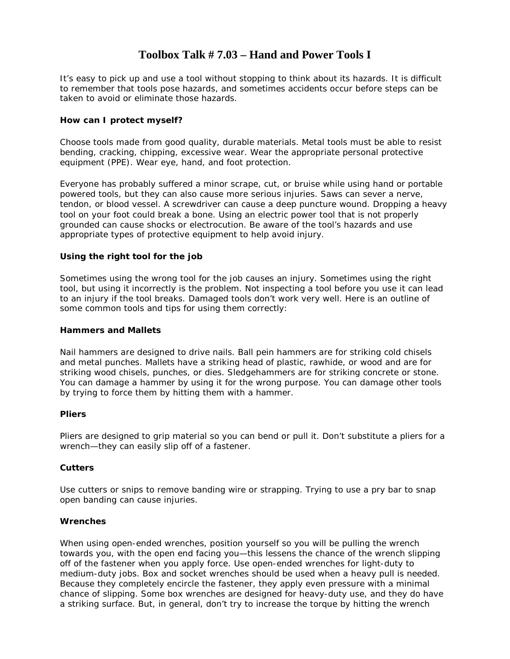# **Toolbox Talk # 7.03 – Hand and Power Tools I**

It's easy to pick up and use a tool without stopping to think about its hazards. It is difficult to remember that tools pose hazards, and sometimes accidents occur before steps can be taken to avoid or eliminate those hazards.

# **How can I protect myself?**

Choose tools made from good quality, durable materials. Metal tools must be able to resist bending, cracking, chipping, excessive wear. Wear the appropriate personal protective equipment (PPE). Wear eye, hand, and foot protection.

Everyone has probably suffered a minor scrape, cut, or bruise while using hand or portable powered tools, but they can also cause more serious injuries. Saws can sever a nerve, tendon, or blood vessel. A screwdriver can cause a deep puncture wound. Dropping a heavy tool on your foot could break a bone. Using an electric power tool that is not properly grounded can cause shocks or electrocution. Be aware of the tool's hazards and use appropriate types of protective equipment to help avoid injury.

# **Using the right tool for the job**

Sometimes using the wrong tool for the job causes an injury. Sometimes using the right tool, but using it incorrectly is the problem. Not inspecting a tool before you use it can lead to an injury if the tool breaks. Damaged tools don't work very well. Here is an outline of some common tools and tips for using them correctly:

### **Hammers and Mallets**

Nail hammers are designed to drive nails. Ball pein hammers are for striking cold chisels and metal punches. Mallets have a striking head of plastic, rawhide, or wood and are for striking wood chisels, punches, or dies. Sledgehammers are for striking concrete or stone. You can damage a hammer by using it for the wrong purpose. You can damage other tools by trying to force them by hitting them with a hammer.

# **Pliers**

Pliers are designed to grip material so you can bend or pull it. Don't substitute a pliers for a wrench—they can easily slip off of a fastener.

# **Cutters**

Use cutters or snips to remove banding wire or strapping. Trying to use a pry bar to snap open banding can cause injuries.

# **Wrenches**

When using open-ended wrenches, position yourself so you will be pulling the wrench towards you, with the open end facing you—this lessens the chance of the wrench slipping off of the fastener when you apply force. Use open-ended wrenches for light-duty to medium-duty jobs. Box and socket wrenches should be used when a heavy pull is needed. Because they completely encircle the fastener, they apply even pressure with a minimal chance of slipping. Some box wrenches are designed for heavy-duty use, and they do have a striking surface. But, in general, don't try to increase the torque by hitting the wrench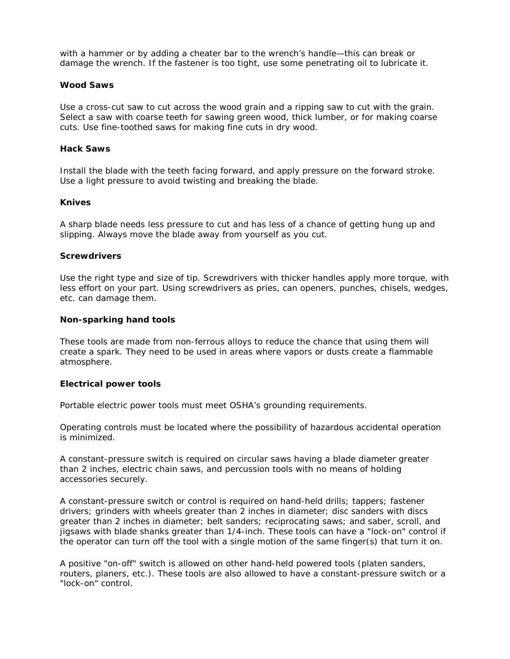with a hammer or by adding a cheater bar to the wrench's handle—this can break or damage the wrench. If the fastener is too tight, use some penetrating oil to lubricate it.

#### **Wood Saws**

Use a cross-cut saw to cut across the wood grain and a ripping saw to cut with the grain. Select a saw with coarse teeth for sawing green wood, thick lumber, or for making coarse cuts. Use fine-toothed saws for making fine cuts in dry wood.

# **Hack Saws**

Install the blade with the teeth facing forward, and apply pressure on the forward stroke. Use a light pressure to avoid twisting and breaking the blade.

#### **Knives**

A sharp blade needs less pressure to cut and has less of a chance of getting hung up and slipping. Always move the blade away from yourself as you cut.

#### **Screwdrivers**

Use the right type and size of tip. Screwdrivers with thicker handles apply more torque, with less effort on your part. Using screwdrivers as pries, can openers, punches, chisels, wedges, etc. can damage them.

#### **Non-sparking hand tools**

These tools are made from non-ferrous alloys to reduce the chance that using them will create a spark. They need to be used in areas where vapors or dusts create a flammable atmosphere.

#### **Electrical power tools**

Portable electric power tools must meet OSHA's grounding requirements.

Operating controls must be located where the possibility of hazardous accidental operation is minimized.

A constant-pressure switch is required on circular saws having a blade diameter greater than 2 inches, electric chain saws, and percussion tools with no means of holding accessories securely.

A constant-pressure switch or control is required on hand-held drills; tappers; fastener drivers; grinders with wheels greater than 2 inches in diameter; disc sanders with discs greater than 2 inches in diameter; belt sanders; reciprocating saws; and saber, scroll, and jigsaws with blade shanks greater than 1/4-inch. These tools can have a "lock-on" control if the operator can turn off the tool with a single motion of the same finger(s) that turn it on.

A positive "on-off" switch is allowed on other hand-held powered tools (platen sanders, routers, planers, etc.). These tools are also allowed to have a constant-pressure switch or a "lock-on" control.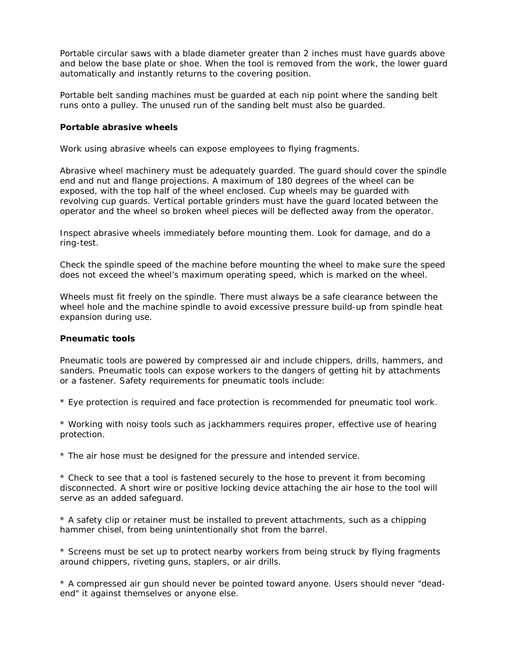Portable circular saws with a blade diameter greater than 2 inches must have guards above and below the base plate or shoe. When the tool is removed from the work, the lower guard automatically and instantly returns to the covering position.

Portable belt sanding machines must be guarded at each nip point where the sanding belt runs onto a pulley. The unused run of the sanding belt must also be guarded.

#### **Portable abrasive wheels**

Work using abrasive wheels can expose employees to flying fragments.

Abrasive wheel machinery must be adequately guarded. The guard should cover the spindle end and nut and flange projections. A maximum of 180 degrees of the wheel can be exposed, with the top half of the wheel enclosed. Cup wheels may be guarded with revolving cup guards. Vertical portable grinders must have the guard located between the operator and the wheel so broken wheel pieces will be deflected away from the operator.

Inspect abrasive wheels immediately before mounting them. Look for damage, and do a ring-test.

Check the spindle speed of the machine before mounting the wheel to make sure the speed does not exceed the wheel's maximum operating speed, which is marked on the wheel.

Wheels must fit freely on the spindle. There must always be a safe clearance between the wheel hole and the machine spindle to avoid excessive pressure build-up from spindle heat expansion during use.

# **Pneumatic tools**

Pneumatic tools are powered by compressed air and include chippers, drills, hammers, and sanders. Pneumatic tools can expose workers to the dangers of getting hit by attachments or a fastener. Safety requirements for pneumatic tools include:

\* Eye protection is required and face protection is recommended for pneumatic tool work.

\* Working with noisy tools such as jackhammers requires proper, effective use of hearing protection.

\* The air hose must be designed for the pressure and intended service.

\* Check to see that a tool is fastened securely to the hose to prevent it from becoming disconnected. A short wire or positive locking device attaching the air hose to the tool will serve as an added safeguard.

\* A safety clip or retainer must be installed to prevent attachments, such as a chipping hammer chisel, from being unintentionally shot from the barrel.

\* Screens must be set up to protect nearby workers from being struck by flying fragments around chippers, riveting guns, staplers, or air drills.

\* A compressed air gun should never be pointed toward anyone. Users should never "deadend" it against themselves or anyone else.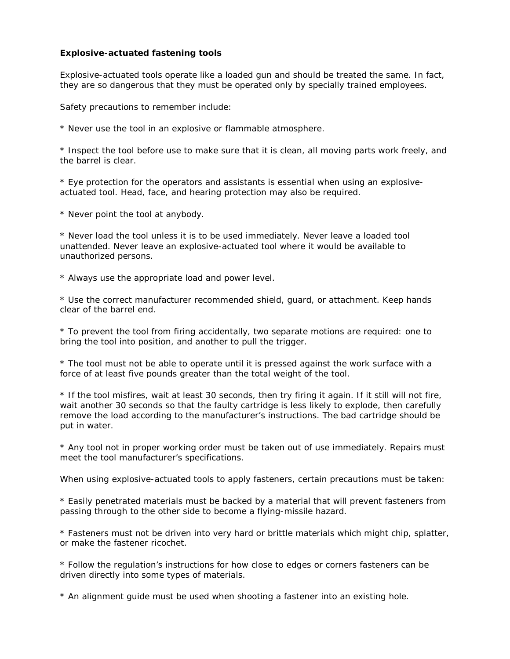### **Explosive-actuated fastening tools**

Explosive-actuated tools operate like a loaded gun and should be treated the same. In fact, they are so dangerous that they must be operated only by specially trained employees.

Safety precautions to remember include:

\* Never use the tool in an explosive or flammable atmosphere.

\* Inspect the tool before use to make sure that it is clean, all moving parts work freely, and the barrel is clear.

\* Eye protection for the operators and assistants is essential when using an explosiveactuated tool. Head, face, and hearing protection may also be required.

\* Never point the tool at anybody.

\* Never load the tool unless it is to be used immediately. Never leave a loaded tool unattended. Never leave an explosive-actuated tool where it would be available to unauthorized persons.

\* Always use the appropriate load and power level.

\* Use the correct manufacturer recommended shield, guard, or attachment. Keep hands clear of the barrel end.

\* To prevent the tool from firing accidentally, two separate motions are required: one to bring the tool into position, and another to pull the trigger.

\* The tool must not be able to operate until it is pressed against the work surface with a force of at least five pounds greater than the total weight of the tool.

\* If the tool misfires, wait at least 30 seconds, then try firing it again. If it still will not fire, wait another 30 seconds so that the faulty cartridge is less likely to explode, then carefully remove the load according to the manufacturer's instructions. The bad cartridge should be put in water.

\* Any tool not in proper working order must be taken out of use immediately. Repairs must meet the tool manufacturer's specifications.

When using explosive-actuated tools to apply fasteners, certain precautions must be taken:

\* Easily penetrated materials must be backed by a material that will prevent fasteners from passing through to the other side to become a flying-missile hazard.

\* Fasteners must not be driven into very hard or brittle materials which might chip, splatter, or make the fastener ricochet.

\* Follow the regulation's instructions for how close to edges or corners fasteners can be driven directly into some types of materials.

\* An alignment guide must be used when shooting a fastener into an existing hole.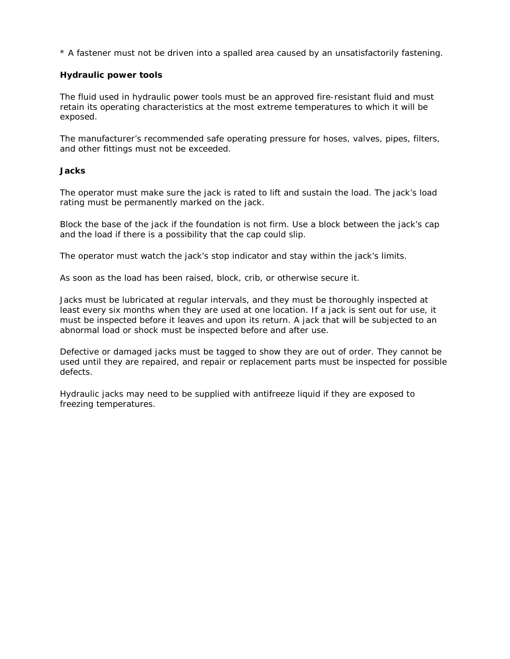\* A fastener must not be driven into a spalled area caused by an unsatisfactorily fastening.

#### **Hydraulic power tools**

The fluid used in hydraulic power tools must be an approved fire-resistant fluid and must retain its operating characteristics at the most extreme temperatures to which it will be exposed.

The manufacturer's recommended safe operating pressure for hoses, valves, pipes, filters, and other fittings must not be exceeded.

#### **Jacks**

The operator must make sure the jack is rated to lift and sustain the load. The jack's load rating must be permanently marked on the jack.

Block the base of the jack if the foundation is not firm. Use a block between the jack's cap and the load if there is a possibility that the cap could slip.

The operator must watch the jack's stop indicator and stay within the jack's limits.

As soon as the load has been raised, block, crib, or otherwise secure it.

Jacks must be lubricated at regular intervals, and they must be thoroughly inspected at least every six months when they are used at one location. If a jack is sent out for use, it must be inspected before it leaves and upon its return. A jack that will be subjected to an abnormal load or shock must be inspected before and after use.

Defective or damaged jacks must be tagged to show they are out of order. They cannot be used until they are repaired, and repair or replacement parts must be inspected for possible defects.

Hydraulic jacks may need to be supplied with antifreeze liquid if they are exposed to freezing temperatures.